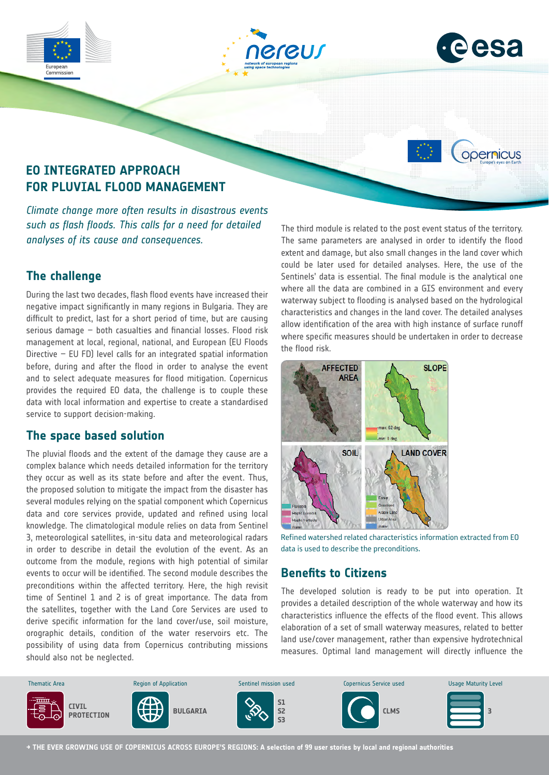





opernicus

# **EO INTEGRATED APPROACH FOR PLUVIAL FLOOD MANAGEMENT**

*Climate change more often results in disastrous events such as flash floods. This calls for a need for detailed analyses of its cause and consequences.*

## **The challenge**

During the last two decades, flash flood events have increased their negative impact significantly in many regions in Bulgaria. They are difficult to predict, last for a short period of time, but are causing serious damage – both casualties and financial losses. Flood risk management at local, regional, national, and European (EU Floods Directive – EU FD) level calls for an integrated spatial information before, during and after the flood in order to analyse the event and to select adequate measures for flood mitigation. Copernicus provides the required EO data, the challenge is to couple these data with local information and expertise to create a standardised service to support decision-making.

### **The space based solution**

The pluvial floods and the extent of the damage they cause are a complex balance which needs detailed information for the territory they occur as well as its state before and after the event. Thus, the proposed solution to mitigate the impact from the disaster has several modules relying on the spatial component which Copernicus data and core services provide, updated and refined using local knowledge. The climatological module relies on data from Sentinel 3, meteorological satellites, in-situ data and meteorological radars in order to describe in detail the evolution of the event. As an outcome from the module, regions with high potential of similar events to occur will be identified. The second module describes the preconditions within the affected territory. Here, the high revisit time of Sentinel 1 and 2 is of great importance. The data from the satellites, together with the Land Core Services are used to derive specific information for the land cover/use, soil moisture, orographic details, condition of the water reservoirs etc. The possibility of using data from Copernicus contributing missions should also not be neglected.

The third module is related to the post event status of the territory. The same parameters are analysed in order to identify the flood extent and damage, but also small changes in the land cover which could be later used for detailed analyses. Here, the use of the Sentinels' data is essential. The final module is the analytical one where all the data are combined in a GIS environment and every waterway subject to flooding is analysed based on the hydrological characteristics and changes in the land cover. The detailed analyses allow identification of the area with high instance of surface runoff where specific measures should be undertaken in order to decrease the flood risk.



Refined watershed related characteristics information extracted from EO data is used to describe the preconditions.

### **Benefits to Citizens**

The developed solution is ready to be put into operation. It provides a detailed description of the whole waterway and how its characteristics influence the effects of the flood event. This allows elaboration of a set of small waterway measures, related to better land use/cover management, rather than expensive hydrotechnical measures. Optimal land management will directly influence the



**→ THE EVER GROWING USE OF COPERNICUS ACROSS EUROPE'S REGIONS: A selection of 99 user stories by local and regional authorities**